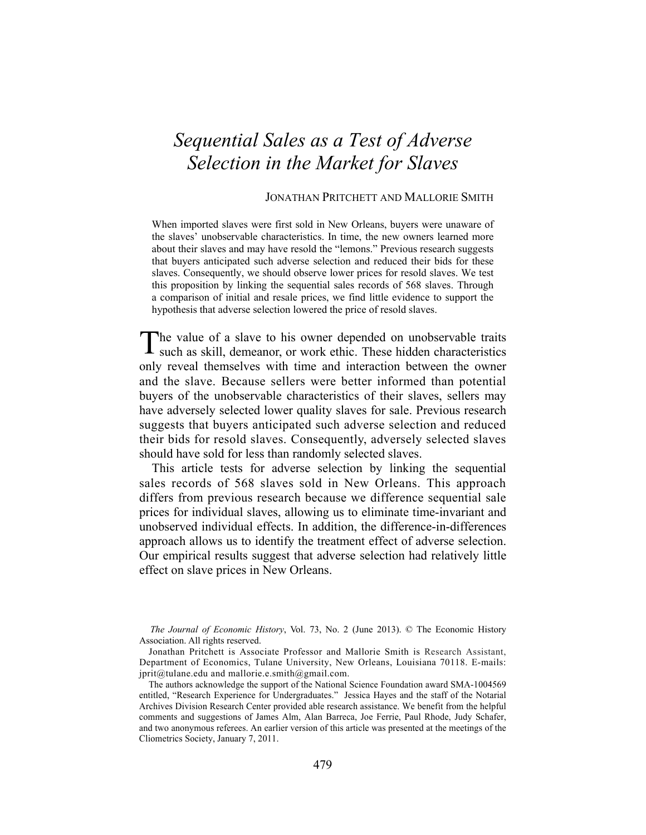# *Sequential Sales as a Test of Adverse Selection in the Market for Slaves*

# JONATHAN PRITCHETT AND MALLORIE SMITH

When imported slaves were first sold in New Orleans, buyers were unaware of the slaves' unobservable characteristics. In time, the new owners learned more about their slaves and may have resold the "lemons." Previous research suggests that buyers anticipated such adverse selection and reduced their bids for these slaves. Consequently, we should observe lower prices for resold slaves. We test this proposition by linking the sequential sales records of 568 slaves. Through a comparison of initial and resale prices, we find little evidence to support the hypothesis that adverse selection lowered the price of resold slaves.

he value of a slave to his owner depended on unobservable traits The value of a slave to his owner depended on unobservable traits such as skill, demeanor, or work ethic. These hidden characteristics only reveal themselves with time and interaction between the owner and the slave. Because sellers were better informed than potential buyers of the unobservable characteristics of their slaves, sellers may have adversely selected lower quality slaves for sale. Previous research suggests that buyers anticipated such adverse selection and reduced their bids for resold slaves. Consequently, adversely selected slaves should have sold for less than randomly selected slaves.

 This article tests for adverse selection by linking the sequential sales records of 568 slaves sold in New Orleans. This approach differs from previous research because we difference sequential sale prices for individual slaves, allowing us to eliminate time-invariant and unobserved individual effects. In addition, the difference-in-differences approach allows us to identify the treatment effect of adverse selection. Our empirical results suggest that adverse selection had relatively little effect on slave prices in New Orleans.

*The Journal of Economic History*, Vol. 73, No. 2 (June 2013). © The Economic History Association. All rights reserved.

Jonathan Pritchett is Associate Professor and Mallorie Smith is Research Assistant, Department of Economics, Tulane University, New Orleans, Louisiana 70118. E-mails: jprit@tulane.edu and mallorie.e.smith@gmail.com.

The authors acknowledge the support of the National Science Foundation award SMA-1004569 entitled, "Research Experience for Undergraduates." Jessica Hayes and the staff of the Notarial Archives Division Research Center provided able research assistance. We benefit from the helpful comments and suggestions of James Alm, Alan Barreca, Joe Ferrie, Paul Rhode, Judy Schafer, and two anonymous referees. An earlier version of this article was presented at the meetings of the Cliometrics Society, January 7, 2011.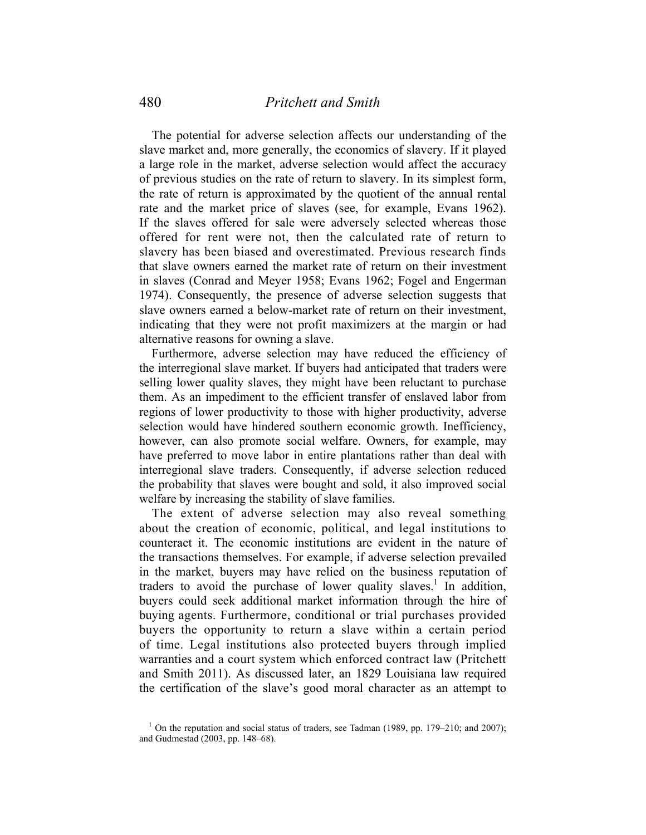The potential for adverse selection affects our understanding of the slave market and, more generally, the economics of slavery. If it played a large role in the market, adverse selection would affect the accuracy of previous studies on the rate of return to slavery. In its simplest form, the rate of return is approximated by the quotient of the annual rental rate and the market price of slaves (see, for example, Evans 1962). If the slaves offered for sale were adversely selected whereas those offered for rent were not, then the calculated rate of return to slavery has been biased and overestimated. Previous research finds that slave owners earned the market rate of return on their investment in slaves (Conrad and Meyer 1958; Evans 1962; Fogel and Engerman 1974). Consequently, the presence of adverse selection suggests that slave owners earned a below-market rate of return on their investment, indicating that they were not profit maximizers at the margin or had alternative reasons for owning a slave.

 Furthermore, adverse selection may have reduced the efficiency of the interregional slave market. If buyers had anticipated that traders were selling lower quality slaves, they might have been reluctant to purchase them. As an impediment to the efficient transfer of enslaved labor from regions of lower productivity to those with higher productivity, adverse selection would have hindered southern economic growth. Inefficiency, however, can also promote social welfare. Owners, for example, may have preferred to move labor in entire plantations rather than deal with interregional slave traders. Consequently, if adverse selection reduced the probability that slaves were bought and sold, it also improved social welfare by increasing the stability of slave families.

 The extent of adverse selection may also reveal something about the creation of economic, political, and legal institutions to counteract it. The economic institutions are evident in the nature of the transactions themselves. For example, if adverse selection prevailed in the market, buyers may have relied on the business reputation of traders to avoid the purchase of lower quality slaves.<sup>1</sup> In addition, buyers could seek additional market information through the hire of buying agents. Furthermore, conditional or trial purchases provided buyers the opportunity to return a slave within a certain period of time. Legal institutions also protected buyers through implied warranties and a court system which enforced contract law (Pritchett and Smith 2011). As discussed later, an 1829 Louisiana law required the certification of the slave's good moral character as an attempt to

<sup>&</sup>lt;sup>1</sup> On the reputation and social status of traders, see Tadman (1989, pp. 179–210; and 2007); and Gudmestad (2003, pp. 148‒68).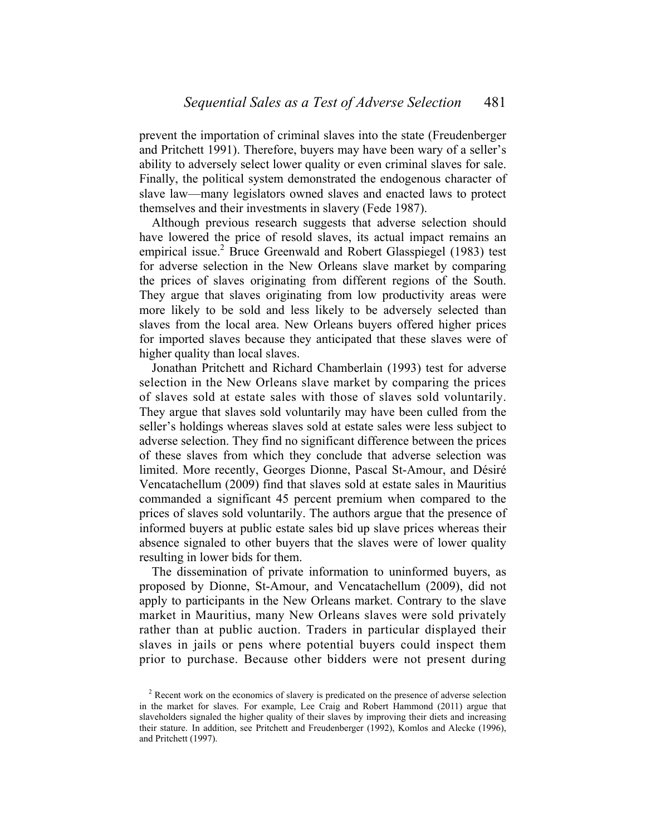prevent the importation of criminal slaves into the state (Freudenberger and Pritchett 1991). Therefore, buyers may have been wary of a seller's ability to adversely select lower quality or even criminal slaves for sale. Finally, the political system demonstrated the endogenous character of slave law—many legislators owned slaves and enacted laws to protect themselves and their investments in slavery (Fede 1987).

 Although previous research suggests that adverse selection should have lowered the price of resold slaves, its actual impact remains an empirical issue.<sup>2</sup> Bruce Greenwald and Robert Glasspiegel (1983) test for adverse selection in the New Orleans slave market by comparing the prices of slaves originating from different regions of the South. They argue that slaves originating from low productivity areas were more likely to be sold and less likely to be adversely selected than slaves from the local area. New Orleans buyers offered higher prices for imported slaves because they anticipated that these slaves were of higher quality than local slaves.

 Jonathan Pritchett and Richard Chamberlain (1993) test for adverse selection in the New Orleans slave market by comparing the prices of slaves sold at estate sales with those of slaves sold voluntarily. They argue that slaves sold voluntarily may have been culled from the seller's holdings whereas slaves sold at estate sales were less subject to adverse selection. They find no significant difference between the prices of these slaves from which they conclude that adverse selection was limited. More recently, Georges Dionne, Pascal St-Amour, and Désiré Vencatachellum (2009) find that slaves sold at estate sales in Mauritius commanded a significant 45 percent premium when compared to the prices of slaves sold voluntarily. The authors argue that the presence of informed buyers at public estate sales bid up slave prices whereas their absence signaled to other buyers that the slaves were of lower quality resulting in lower bids for them.

 The dissemination of private information to uninformed buyers, as proposed by Dionne, St-Amour, and Vencatachellum (2009), did not apply to participants in the New Orleans market. Contrary to the slave market in Mauritius, many New Orleans slaves were sold privately rather than at public auction. Traders in particular displayed their slaves in jails or pens where potential buyers could inspect them prior to purchase. Because other bidders were not present during

 $2^{2}$  Recent work on the economics of slavery is predicated on the presence of adverse selection in the market for slaves. For example, Lee Craig and Robert Hammond (2011) argue that slaveholders signaled the higher quality of their slaves by improving their diets and increasing their stature. In addition, see Pritchett and Freudenberger (1992), Komlos and Alecke (1996), and Pritchett (1997).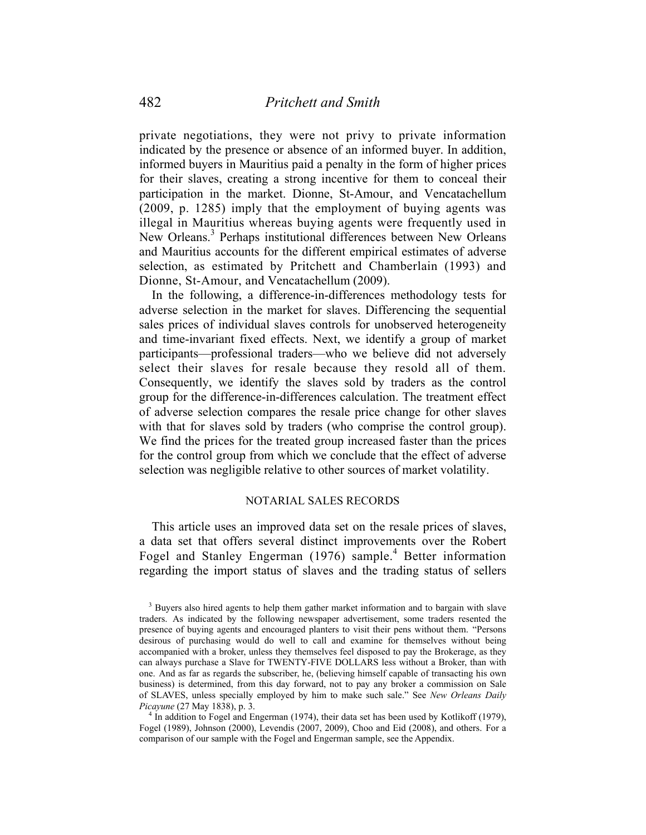private negotiations, they were not privy to private information indicated by the presence or absence of an informed buyer. In addition, informed buyers in Mauritius paid a penalty in the form of higher prices for their slaves, creating a strong incentive for them to conceal their participation in the market. Dionne, St-Amour, and Vencatachellum (2009, p. 1285) imply that the employment of buying agents was illegal in Mauritius whereas buying agents were frequently used in New Orleans.<sup>3</sup> Perhaps institutional differences between New Orleans and Mauritius accounts for the different empirical estimates of adverse selection, as estimated by Pritchett and Chamberlain (1993) and Dionne, St-Amour, and Vencatachellum (2009).

 In the following, a difference-in-differences methodology tests for adverse selection in the market for slaves. Differencing the sequential sales prices of individual slaves controls for unobserved heterogeneity and time-invariant fixed effects. Next, we identify a group of market participants—professional traders—who we believe did not adversely select their slaves for resale because they resold all of them. Consequently, we identify the slaves sold by traders as the control group for the difference-in-differences calculation. The treatment effect of adverse selection compares the resale price change for other slaves with that for slaves sold by traders (who comprise the control group). We find the prices for the treated group increased faster than the prices for the control group from which we conclude that the effect of adverse selection was negligible relative to other sources of market volatility.

#### NOTARIAL SALES RECORDS

 This article uses an improved data set on the resale prices of slaves, a data set that offers several distinct improvements over the Robert Fogel and Stanley Engerman (1976) sample.<sup>4</sup> Better information regarding the import status of slaves and the trading status of sellers

<sup>&</sup>lt;sup>3</sup> Buyers also hired agents to help them gather market information and to bargain with slave traders. As indicated by the following newspaper advertisement, some traders resented the presence of buying agents and encouraged planters to visit their pens without them. "Persons desirous of purchasing would do well to call and examine for themselves without being accompanied with a broker, unless they themselves feel disposed to pay the Brokerage, as they can always purchase a Slave for TWENTY-FIVE DOLLARS less without a Broker, than with one. And as far as regards the subscriber, he, (believing himself capable of transacting his own business) is determined, from this day forward, not to pay any broker a commission on Sale of SLAVES, unless specially employed by him to make such sale." See *New Orleans Daily Picayune* (27 May 1838), p. 3. <sup>4</sup>

 $4\,$  In addition to Fogel and Engerman (1974), their data set has been used by Kotlikoff (1979), Fogel (1989), Johnson (2000), Levendis (2007, 2009), Choo and Eid (2008), and others. For a comparison of our sample with the Fogel and Engerman sample, see the Appendix.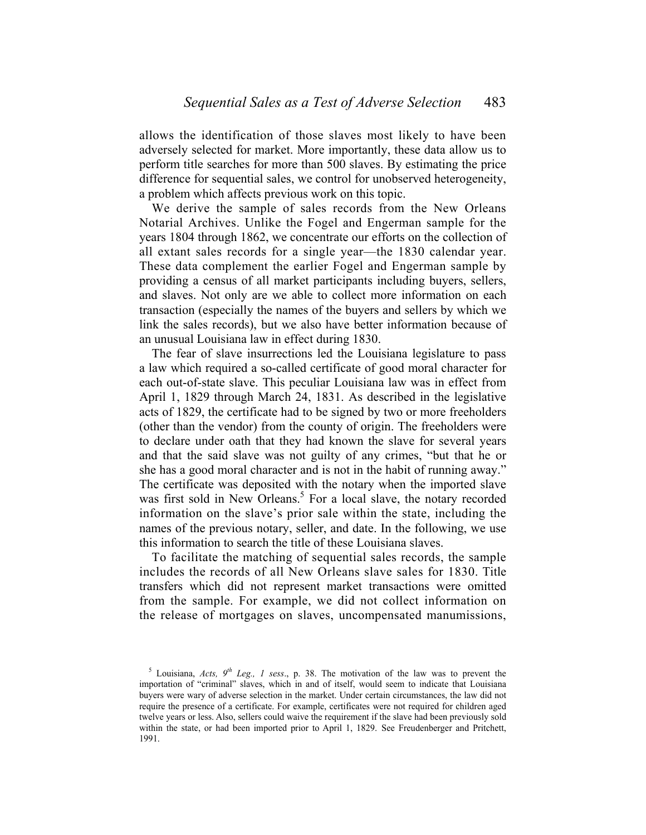allows the identification of those slaves most likely to have been adversely selected for market. More importantly, these data allow us to perform title searches for more than 500 slaves. By estimating the price difference for sequential sales, we control for unobserved heterogeneity, a problem which affects previous work on this topic.

 We derive the sample of sales records from the New Orleans Notarial Archives. Unlike the Fogel and Engerman sample for the years 1804 through 1862, we concentrate our efforts on the collection of all extant sales records for a single year—the 1830 calendar year. These data complement the earlier Fogel and Engerman sample by providing a census of all market participants including buyers, sellers, and slaves. Not only are we able to collect more information on each transaction (especially the names of the buyers and sellers by which we link the sales records), but we also have better information because of an unusual Louisiana law in effect during 1830.

 The fear of slave insurrections led the Louisiana legislature to pass a law which required a so-called certificate of good moral character for each out-of-state slave. This peculiar Louisiana law was in effect from April 1, 1829 through March 24, 1831. As described in the legislative acts of 1829, the certificate had to be signed by two or more freeholders (other than the vendor) from the county of origin. The freeholders were to declare under oath that they had known the slave for several years and that the said slave was not guilty of any crimes, "but that he or she has a good moral character and is not in the habit of running away." The certificate was deposited with the notary when the imported slave was first sold in New Orleans.<sup>5</sup> For a local slave, the notary recorded information on the slave's prior sale within the state, including the names of the previous notary, seller, and date. In the following, we use this information to search the title of these Louisiana slaves.

 To facilitate the matching of sequential sales records, the sample includes the records of all New Orleans slave sales for 1830. Title transfers which did not represent market transactions were omitted from the sample. For example, we did not collect information on the release of mortgages on slaves, uncompensated manumissions,

<sup>&</sup>lt;sup>5</sup> Louisiana, *Acts*,  $9<sup>th</sup>$  Leg., 1 sess., p. 38. The motivation of the law was to prevent the importation of "criminal" slaves, which in and of itself, would seem to indicate that Louisiana buyers were wary of adverse selection in the market. Under certain circumstances, the law did not require the presence of a certificate. For example, certificates were not required for children aged twelve years or less. Also, sellers could waive the requirement if the slave had been previously sold within the state, or had been imported prior to April 1, 1829. See Freudenberger and Pritchett, 1991.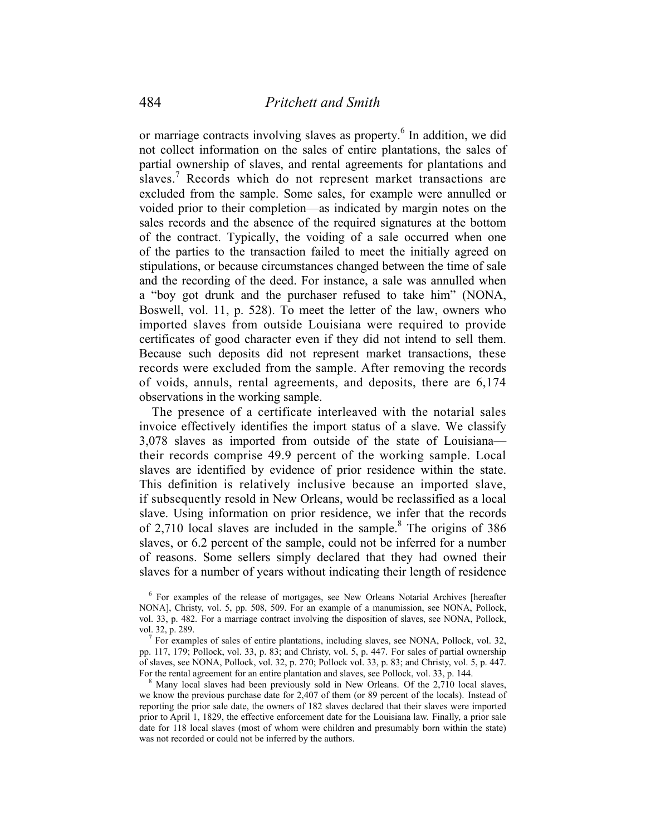or marriage contracts involving slaves as property.<sup>6</sup> In addition, we did not collect information on the sales of entire plantations, the sales of partial ownership of slaves, and rental agreements for plantations and slaves.<sup>7</sup> Records which do not represent market transactions are excluded from the sample. Some sales, for example were annulled or voided prior to their completion—as indicated by margin notes on the sales records and the absence of the required signatures at the bottom of the contract. Typically, the voiding of a sale occurred when one of the parties to the transaction failed to meet the initially agreed on stipulations, or because circumstances changed between the time of sale and the recording of the deed. For instance, a sale was annulled when a "boy got drunk and the purchaser refused to take him" (NONA, Boswell, vol. 11, p. 528). To meet the letter of the law, owners who imported slaves from outside Louisiana were required to provide certificates of good character even if they did not intend to sell them. Because such deposits did not represent market transactions, these records were excluded from the sample. After removing the records of voids, annuls, rental agreements, and deposits, there are 6,174 observations in the working sample.

 The presence of a certificate interleaved with the notarial sales invoice effectively identifies the import status of a slave. We classify 3,078 slaves as imported from outside of the state of Louisiana their records comprise 49.9 percent of the working sample. Local slaves are identified by evidence of prior residence within the state. This definition is relatively inclusive because an imported slave, if subsequently resold in New Orleans, would be reclassified as a local slave. Using information on prior residence, we infer that the records of 2,710 local slaves are included in the sample. $8$  The origins of 386 slaves, or 6.2 percent of the sample, could not be inferred for a number of reasons. Some sellers simply declared that they had owned their slaves for a number of years without indicating their length of residence

 For examples of sales of entire plantations, including slaves, see NONA, Pollock, vol. 32, pp. 117, 179; Pollock, vol. 33, p. 83; and Christy, vol. 5, p. 447. For sales of partial ownership of slaves, see NONA, Pollock, vol. 32, p. 270; Pollock vol. 33, p. 83; and Christy, vol. 5, p. 447. For the rental agreement for an entire plantation and slaves, see Pollock, vol. 33, p. 144.

 Many local slaves had been previously sold in New Orleans. Of the 2,710 local slaves, we know the previous purchase date for 2,407 of them (or 89 percent of the locals). Instead of reporting the prior sale date, the owners of 182 slaves declared that their slaves were imported prior to April 1, 1829, the effective enforcement date for the Louisiana law. Finally, a prior sale date for 118 local slaves (most of whom were children and presumably born within the state) was not recorded or could not be inferred by the authors.

<sup>&</sup>lt;sup>6</sup> For examples of the release of mortgages, see New Orleans Notarial Archives [hereafter NONA], Christy, vol. 5, pp. 508, 509. For an example of a manumission, see NONA, Pollock, vol. 33, p. 482. For a marriage contract involving the disposition of slaves, see NONA, Pollock, vol. 32, p. 289.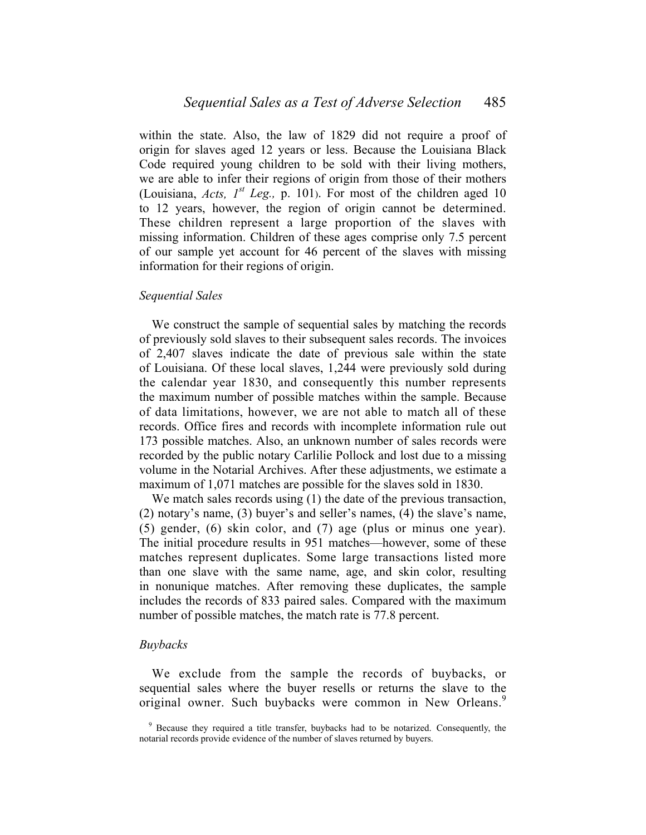within the state. Also, the law of 1829 did not require a proof of origin for slaves aged 12 years or less. Because the Louisiana Black Code required young children to be sold with their living mothers, we are able to infer their regions of origin from those of their mothers (Louisiana, *Acts*,  $I^{st}$  *Leg.*, p. 101). For most of the children aged 10 to 12 years, however, the region of origin cannot be determined. These children represent a large proportion of the slaves with missing information. Children of these ages comprise only 7.5 percent of our sample yet account for 46 percent of the slaves with missing information for their regions of origin.

## *Sequential Sales*

 We construct the sample of sequential sales by matching the records of previously sold slaves to their subsequent sales records. The invoices of 2,407 slaves indicate the date of previous sale within the state of Louisiana. Of these local slaves, 1,244 were previously sold during the calendar year 1830, and consequently this number represents the maximum number of possible matches within the sample. Because of data limitations, however, we are not able to match all of these records. Office fires and records with incomplete information rule out 173 possible matches. Also, an unknown number of sales records were recorded by the public notary Carlilie Pollock and lost due to a missing volume in the Notarial Archives. After these adjustments, we estimate a maximum of 1,071 matches are possible for the slaves sold in 1830.

We match sales records using (1) the date of the previous transaction, (2) notary's name, (3) buyer's and seller's names, (4) the slave's name, (5) gender, (6) skin color, and (7) age (plus or minus one year). The initial procedure results in 951 matches—however, some of these matches represent duplicates. Some large transactions listed more than one slave with the same name, age, and skin color, resulting in nonunique matches. After removing these duplicates, the sample includes the records of 833 paired sales. Compared with the maximum number of possible matches, the match rate is 77.8 percent.

## *Buybacks*

 We exclude from the sample the records of buybacks, or sequential sales where the buyer resells or returns the slave to the original owner. Such buybacks were common in New Orleans.<sup>9</sup>

<sup>&</sup>lt;sup>9</sup> Because they required a title transfer, buybacks had to be notarized. Consequently, the notarial records provide evidence of the number of slaves returned by buyers.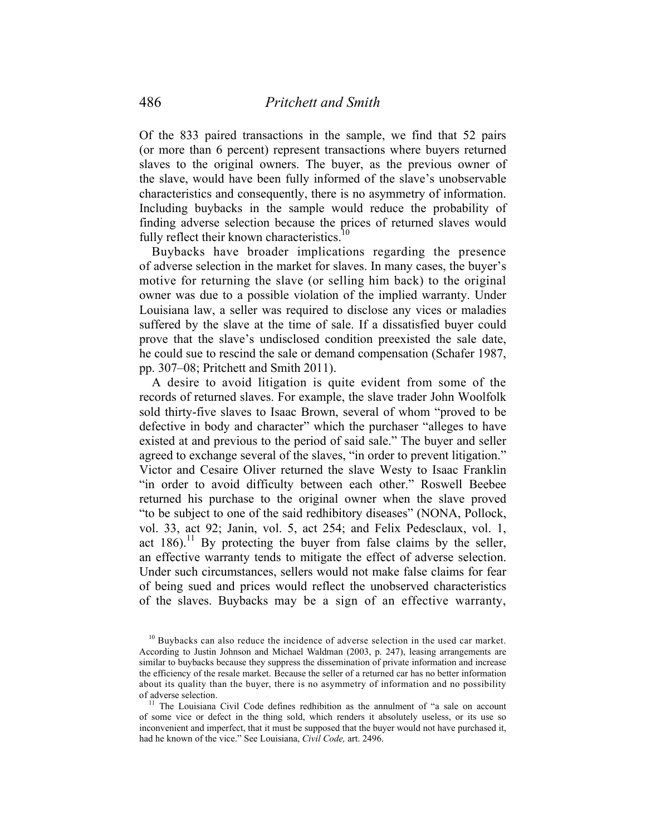Of the 833 paired transactions in the sample, we find that 52 pairs (or more than 6 percent) represent transactions where buyers returned slaves to the original owners. The buyer, as the previous owner of the slave, would have been fully informed of the slave's unobservable characteristics and consequently, there is no asymmetry of information. Including buybacks in the sample would reduce the probability of finding adverse selection because the prices of returned slaves would fully reflect their known characteristics.<sup>10</sup>

 Buybacks have broader implications regarding the presence of adverse selection in the market for slaves. In many cases, the buyer's motive for returning the slave (or selling him back) to the original owner was due to a possible violation of the implied warranty. Under Louisiana law, a seller was required to disclose any vices or maladies suffered by the slave at the time of sale. If a dissatisfied buyer could prove that the slave's undisclosed condition preexisted the sale date, he could sue to rescind the sale or demand compensation (Schafer 1987, pp. 307‒08; Pritchett and Smith 2011).

 A desire to avoid litigation is quite evident from some of the records of returned slaves. For example, the slave trader John Woolfolk sold thirty-five slaves to Isaac Brown, several of whom "proved to be defective in body and character" which the purchaser "alleges to have existed at and previous to the period of said sale." The buyer and seller agreed to exchange several of the slaves, "in order to prevent litigation." Victor and Cesaire Oliver returned the slave Westy to Isaac Franklin "in order to avoid difficulty between each other." Roswell Beebee returned his purchase to the original owner when the slave proved "to be subject to one of the said redhibitory diseases" (NONA, Pollock, vol. 33, act 92; Janin, vol. 5, act 254; and Felix Pedesclaux, vol. 1, act  $186$ ).<sup>11</sup> By protecting the buyer from false claims by the seller, an effective warranty tends to mitigate the effect of adverse selection. Under such circumstances, sellers would not make false claims for fear of being sued and prices would reflect the unobserved characteristics of the slaves. Buybacks may be a sign of an effective warranty,

 $10$  Buybacks can also reduce the incidence of adverse selection in the used car market. According to Justin Johnson and Michael Waldman (2003, p. 247), leasing arrangements are similar to buybacks because they suppress the dissemination of private information and increase the efficiency of the resale market. Because the seller of a returned car has no better information about its quality than the buyer, there is no asymmetry of information and no possibility of adverse selection.

 $11$  The Louisiana Civil Code defines redhibition as the annulment of "a sale on account of some vice or defect in the thing sold, which renders it absolutely useless, or its use so inconvenient and imperfect, that it must be supposed that the buyer would not have purchased it, had he known of the vice." See Louisiana, *Civil Code,* art. 2496.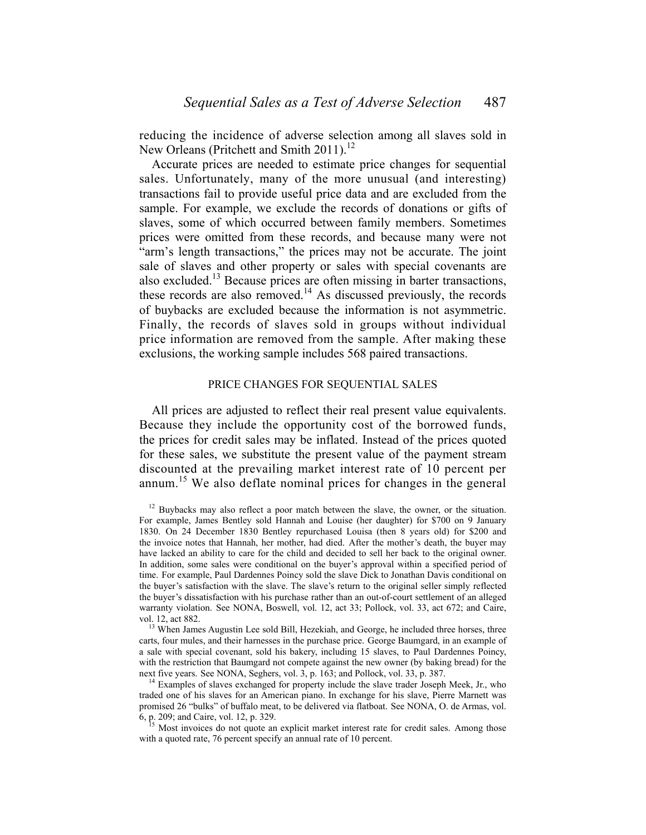reducing the incidence of adverse selection among all slaves sold in New Orleans (Pritchett and Smith 2011).<sup>12</sup>

 Accurate prices are needed to estimate price changes for sequential sales. Unfortunately, many of the more unusual (and interesting) transactions fail to provide useful price data and are excluded from the sample. For example, we exclude the records of donations or gifts of slaves, some of which occurred between family members. Sometimes prices were omitted from these records, and because many were not "arm's length transactions," the prices may not be accurate. The joint sale of slaves and other property or sales with special covenants are also excluded.<sup>13</sup> Because prices are often missing in barter transactions, these records are also removed.<sup>14</sup> As discussed previously, the records of buybacks are excluded because the information is not asymmetric. Finally, the records of slaves sold in groups without individual price information are removed from the sample. After making these exclusions, the working sample includes 568 paired transactions.

#### PRICE CHANGES FOR SEQUENTIAL SALES

 All prices are adjusted to reflect their real present value equivalents. Because they include the opportunity cost of the borrowed funds, the prices for credit sales may be inflated. Instead of the prices quoted for these sales, we substitute the present value of the payment stream discounted at the prevailing market interest rate of 10 percent per annum.<sup>15</sup> We also deflate nominal prices for changes in the general

<sup>&</sup>lt;sup>12</sup> Buybacks may also reflect a poor match between the slave, the owner, or the situation. For example, James Bentley sold Hannah and Louise (her daughter) for \$700 on 9 January 1830. On 24 December 1830 Bentley repurchased Louisa (then 8 years old) for \$200 and the invoice notes that Hannah, her mother, had died. After the mother's death, the buyer may have lacked an ability to care for the child and decided to sell her back to the original owner. In addition, some sales were conditional on the buyer's approval within a specified period of time. For example, Paul Dardennes Poincy sold the slave Dick to Jonathan Davis conditional on the buyer's satisfaction with the slave. The slave's return to the original seller simply reflected the buyer's dissatisfaction with his purchase rather than an out-of-court settlement of an alleged warranty violation. See NONA, Boswell, vol. 12, act 33; Pollock, vol. 33, act 672; and Caire,

vol. 12, act 882. <sup>13</sup> When James Augustin Lee sold Bill, Hezekiah, and George, he included three horses, three carts, four mules, and their harnesses in the purchase price. George Baumgard, in an example of a sale with special covenant, sold his bakery, including 15 slaves, to Paul Dardennes Poincy, with the restriction that Baumgard not compete against the new owner (by baking bread) for the next five years. See NONA, Seghers, vol. 3, p. 163; and Pollock, vol. 33, p. 387. <sup>14</sup> Examples of slaves exchanged for property include the slave trader Joseph Meek, Jr., who

traded one of his slaves for an American piano. In exchange for his slave, Pierre Marnett was promised 26 "bulks" of buffalo meat, to be delivered via flatboat. See NONA, O. de Armas, vol. 6, p. 209; and Caire, vol. 12, p. 329. 15 Most invoices do not quote an explicit market interest rate for credit sales. Among those

with a quoted rate, 76 percent specify an annual rate of 10 percent.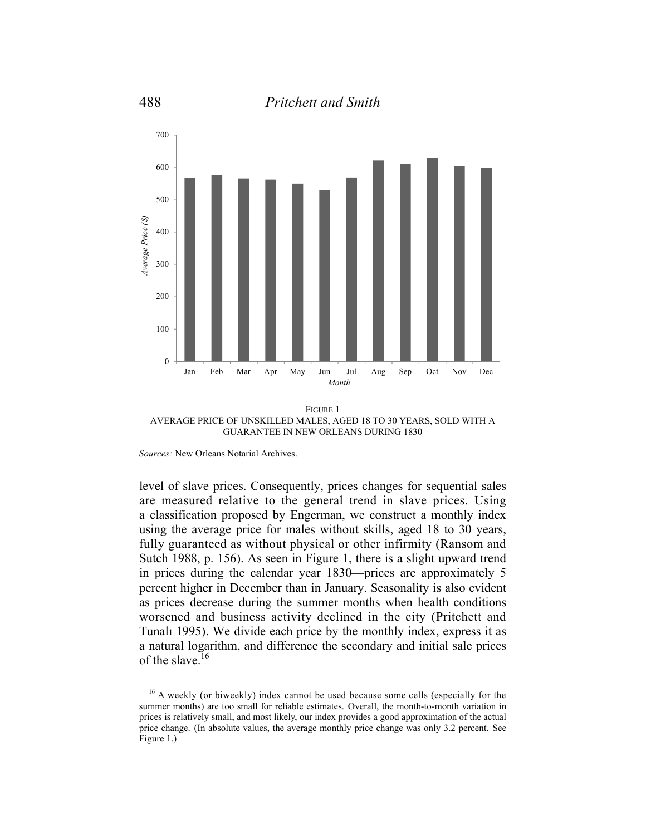

FIGURE 1 AVERAGE PRICE OF UNSKILLED MALES, AGED 18 TO 30 YEARS, SOLD WITH A GUARANTEE IN NEW ORLEANS DURING 1830

*Sources:* New Orleans Notarial Archives.

level of slave prices. Consequently, prices changes for sequential sales are measured relative to the general trend in slave prices. Using a classification proposed by Engerman, we construct a monthly index using the average price for males without skills, aged 18 to 30 years, fully guaranteed as without physical or other infirmity (Ransom and Sutch 1988, p. 156). As seen in Figure 1, there is a slight upward trend in prices during the calendar year 1830—prices are approximately 5 percent higher in December than in January. Seasonality is also evident as prices decrease during the summer months when health conditions worsened and business activity declined in the city (Pritchett and Tunalı 1995). We divide each price by the monthly index, express it as a natural logarithm, and difference the secondary and initial sale prices of the slave.<sup>16</sup>

<sup>&</sup>lt;sup>16</sup> A weekly (or biweekly) index cannot be used because some cells (especially for the summer months) are too small for reliable estimates. Overall, the month-to-month variation in prices is relatively small, and most likely, our index provides a good approximation of the actual price change. (In absolute values, the average monthly price change was only 3.2 percent. See Figure 1.)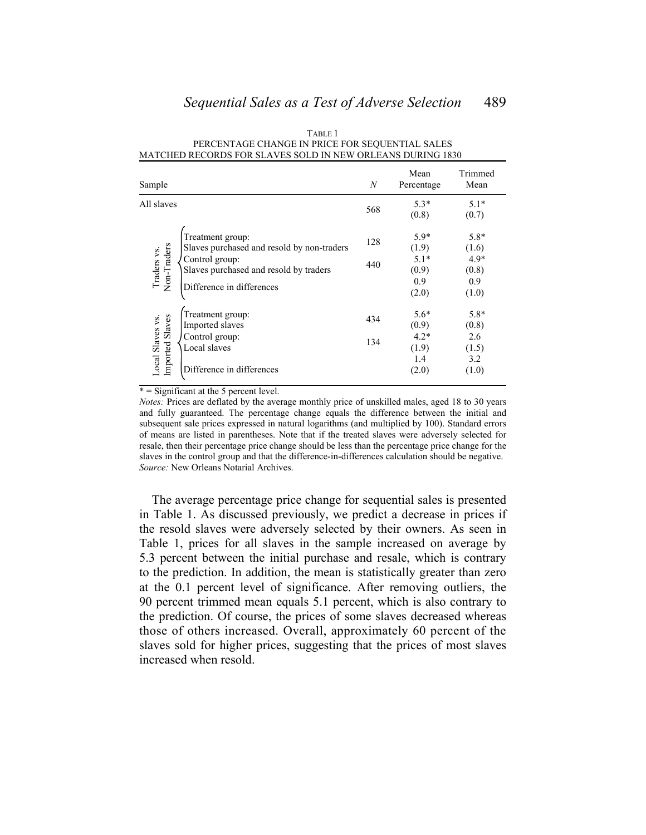| Sample                              |                                                                                                                                                         | N          | Mean<br>Percentage                                 | Trimmed<br>Mean                                    |
|-------------------------------------|---------------------------------------------------------------------------------------------------------------------------------------------------------|------------|----------------------------------------------------|----------------------------------------------------|
| All slaves                          |                                                                                                                                                         | 568        | $5.3*$<br>(0.8)                                    | $5.1*$<br>(0.7)                                    |
| Non-Traders<br>Traders vs.          | Treatment group:<br>Slaves purchased and resold by non-traders<br>Control group:<br>Slaves purchased and resold by traders<br>Difference in differences | 128<br>440 | $5.9*$<br>(1.9)<br>$5.1*$<br>(0.9)<br>0.9<br>(2.0) | $5.8*$<br>(1.6)<br>$4.9*$<br>(0.8)<br>0.9<br>(1.0) |
| Local Slaves vs.<br>Imported Slaves | Treatment group:<br>Imported slaves<br>Control group:<br>Local slaves                                                                                   | 434<br>134 | $5.6*$<br>(0.9)<br>$4.2*$<br>(1.9)                 | $5.8*$<br>(0.8)<br>2.6<br>(1.5)                    |
|                                     | Difference in differences                                                                                                                               |            | 1.4<br>(2.0)                                       | 3.2<br>(1.0)                                       |

TABLE 1 PERCENTAGE CHANGE IN PRICE FOR SEQUENTIAL SALES MATCHED RECORDS FOR SLAVES SOLD IN NEW ORLEANS DURING 1830

\* = Significant at the 5 percent level.

*Notes:* Prices are deflated by the average monthly price of unskilled males, aged 18 to 30 years and fully guaranteed. The percentage change equals the difference between the initial and subsequent sale prices expressed in natural logarithms (and multiplied by 100). Standard errors of means are listed in parentheses. Note that if the treated slaves were adversely selected for resale, then their percentage price change should be less than the percentage price change for the slaves in the control group and that the difference-in-differences calculation should be negative. *Source:* New Orleans Notarial Archives.

 The average percentage price change for sequential sales is presented in Table 1. As discussed previously, we predict a decrease in prices if the resold slaves were adversely selected by their owners. As seen in Table 1, prices for all slaves in the sample increased on average by 5.3 percent between the initial purchase and resale, which is contrary to the prediction. In addition, the mean is statistically greater than zero at the 0.1 percent level of significance. After removing outliers, the 90 percent trimmed mean equals 5.1 percent, which is also contrary to the prediction. Of course, the prices of some slaves decreased whereas those of others increased. Overall, approximately 60 percent of the slaves sold for higher prices, suggesting that the prices of most slaves increased when resold.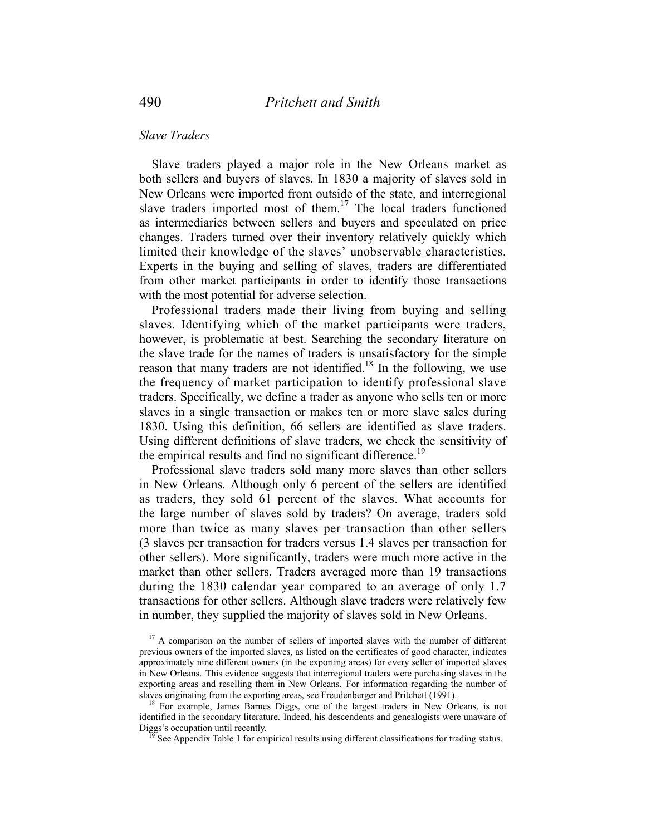## *Slave Traders*

 Slave traders played a major role in the New Orleans market as both sellers and buyers of slaves. In 1830 a majority of slaves sold in New Orleans were imported from outside of the state, and interregional slave traders imported most of them.<sup>17</sup> The local traders functioned as intermediaries between sellers and buyers and speculated on price changes. Traders turned over their inventory relatively quickly which limited their knowledge of the slaves' unobservable characteristics. Experts in the buying and selling of slaves, traders are differentiated from other market participants in order to identify those transactions with the most potential for adverse selection.

 Professional traders made their living from buying and selling slaves. Identifying which of the market participants were traders, however, is problematic at best. Searching the secondary literature on the slave trade for the names of traders is unsatisfactory for the simple reason that many traders are not identified.<sup>18</sup> In the following, we use the frequency of market participation to identify professional slave traders. Specifically, we define a trader as anyone who sells ten or more slaves in a single transaction or makes ten or more slave sales during 1830. Using this definition, 66 sellers are identified as slave traders. Using different definitions of slave traders, we check the sensitivity of the empirical results and find no significant difference.<sup>19</sup>

 Professional slave traders sold many more slaves than other sellers in New Orleans. Although only 6 percent of the sellers are identified as traders, they sold 61 percent of the slaves. What accounts for the large number of slaves sold by traders? On average, traders sold more than twice as many slaves per transaction than other sellers (3 slaves per transaction for traders versus 1.4 slaves per transaction for other sellers). More significantly, traders were much more active in the market than other sellers. Traders averaged more than 19 transactions during the 1830 calendar year compared to an average of only 1.7 transactions for other sellers. Although slave traders were relatively few in number, they supplied the majority of slaves sold in New Orleans.

 $17$  A comparison on the number of sellers of imported slaves with the number of different previous owners of the imported slaves, as listed on the certificates of good character, indicates approximately nine different owners (in the exporting areas) for every seller of imported slaves in New Orleans. This evidence suggests that interregional traders were purchasing slaves in the exporting areas and reselling them in New Orleans. For information regarding the number of slaves originating from the exporting areas, see Freudenberger and Pritchett (1991).<br><sup>18</sup> For example, James Barnes Diggs, one of the largest traders in New Orleans, is not

identified in the secondary literature. Indeed, his descendents and genealogists were unaware of Diggs's occupation until recently.

See Appendix Table 1 for empirical results using different classifications for trading status.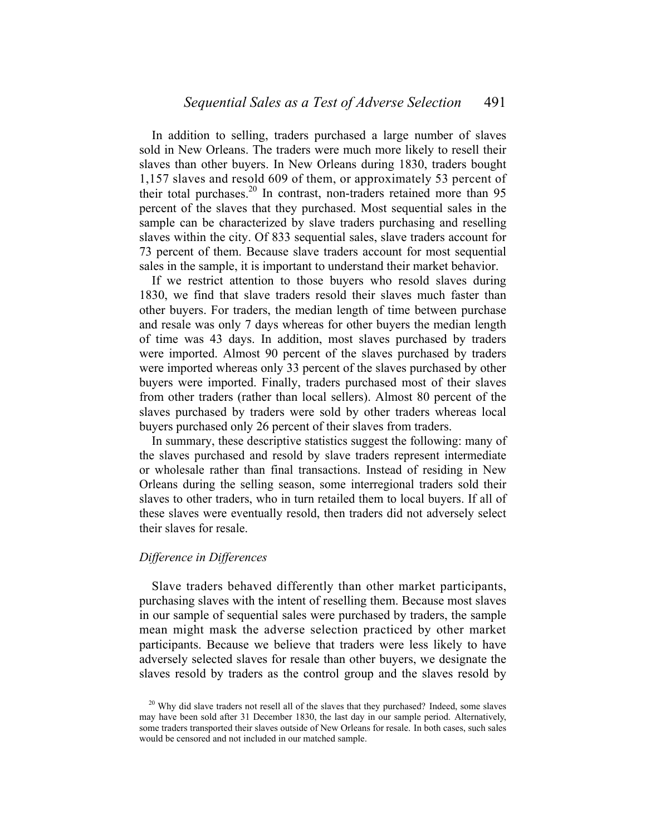In addition to selling, traders purchased a large number of slaves sold in New Orleans. The traders were much more likely to resell their slaves than other buyers. In New Orleans during 1830, traders bought 1,157 slaves and resold 609 of them, or approximately 53 percent of their total purchases.<sup>20</sup> In contrast, non-traders retained more than 95 percent of the slaves that they purchased. Most sequential sales in the sample can be characterized by slave traders purchasing and reselling slaves within the city. Of 833 sequential sales, slave traders account for 73 percent of them. Because slave traders account for most sequential sales in the sample, it is important to understand their market behavior.

 If we restrict attention to those buyers who resold slaves during 1830, we find that slave traders resold their slaves much faster than other buyers. For traders, the median length of time between purchase and resale was only 7 days whereas for other buyers the median length of time was 43 days. In addition, most slaves purchased by traders were imported. Almost 90 percent of the slaves purchased by traders were imported whereas only 33 percent of the slaves purchased by other buyers were imported. Finally, traders purchased most of their slaves from other traders (rather than local sellers). Almost 80 percent of the slaves purchased by traders were sold by other traders whereas local buyers purchased only 26 percent of their slaves from traders.

 In summary, these descriptive statistics suggest the following: many of the slaves purchased and resold by slave traders represent intermediate or wholesale rather than final transactions. Instead of residing in New Orleans during the selling season, some interregional traders sold their slaves to other traders, who in turn retailed them to local buyers. If all of these slaves were eventually resold, then traders did not adversely select their slaves for resale.

# *Difference in Differences*

 Slave traders behaved differently than other market participants, purchasing slaves with the intent of reselling them. Because most slaves in our sample of sequential sales were purchased by traders, the sample mean might mask the adverse selection practiced by other market participants. Because we believe that traders were less likely to have adversely selected slaves for resale than other buyers, we designate the slaves resold by traders as the control group and the slaves resold by

 $20$  Why did slave traders not resell all of the slaves that they purchased? Indeed, some slaves may have been sold after 31 December 1830, the last day in our sample period. Alternatively, some traders transported their slaves outside of New Orleans for resale. In both cases, such sales would be censored and not included in our matched sample.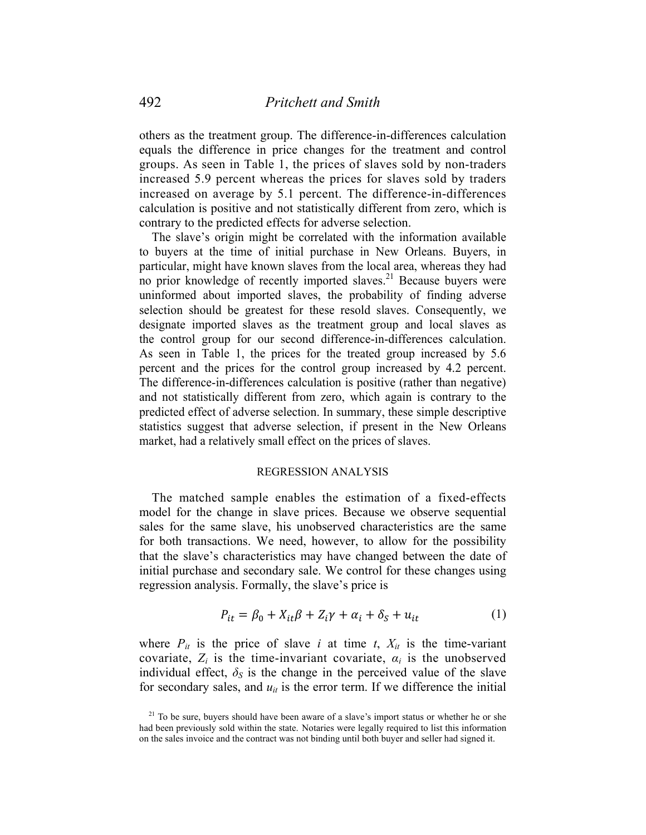others as the treatment group. The difference-in-differences calculation equals the difference in price changes for the treatment and control groups. As seen in Table 1, the prices of slaves sold by non-traders increased 5.9 percent whereas the prices for slaves sold by traders increased on average by 5.1 percent. The difference-in-differences calculation is positive and not statistically different from zero, which is contrary to the predicted effects for adverse selection.

 The slave's origin might be correlated with the information available to buyers at the time of initial purchase in New Orleans. Buyers, in particular, might have known slaves from the local area, whereas they had no prior knowledge of recently imported slaves.<sup>21</sup> Because buyers were uninformed about imported slaves, the probability of finding adverse selection should be greatest for these resold slaves. Consequently, we designate imported slaves as the treatment group and local slaves as the control group for our second difference-in-differences calculation. As seen in Table 1, the prices for the treated group increased by 5.6 percent and the prices for the control group increased by 4.2 percent. The difference-in-differences calculation is positive (rather than negative) and not statistically different from zero, which again is contrary to the predicted effect of adverse selection. In summary, these simple descriptive statistics suggest that adverse selection, if present in the New Orleans market, had a relatively small effect on the prices of slaves.

# REGRESSION ANALYSIS

 The matched sample enables the estimation of a fixed-effects model for the change in slave prices. Because we observe sequential sales for the same slave, his unobserved characteristics are the same for both transactions. We need, however, to allow for the possibility that the slave's characteristics may have changed between the date of initial purchase and secondary sale. We control for these changes using regression analysis. Formally, the slave's price is

$$
P_{it} = \beta_0 + X_{it}\beta + Z_i\gamma + \alpha_i + \delta_s + u_{it}
$$
 (1)

where  $P_{it}$  is the price of slave *i* at time  $t$ ,  $X_{it}$  is the time-variant covariate,  $Z_i$  is the time-invariant covariate,  $\alpha_i$  is the unobserved individual effect,  $\delta_S$  is the change in the perceived value of the slave for secondary sales, and  $u_{it}$  is the error term. If we difference the initial

 $21$  To be sure, buyers should have been aware of a slave's import status or whether he or she had been previously sold within the state. Notaries were legally required to list this information on the sales invoice and the contract was not binding until both buyer and seller had signed it.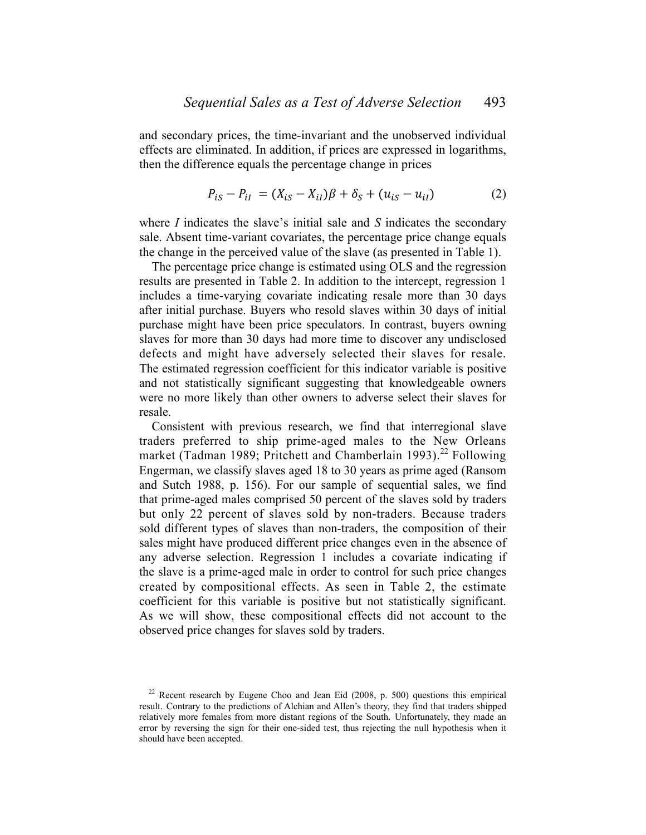and secondary prices, the time-invariant and the unobserved individual effects are eliminated. In addition, if prices are expressed in logarithms, then the difference equals the percentage change in prices

$$
P_{iS} - P_{iI} = (X_{iS} - X_{iI})\beta + \delta_S + (u_{iS} - u_{iI})
$$
 (2)

where *I* indicates the slave's initial sale and *S* indicates the secondary sale. Absent time-variant covariates, the percentage price change equals the change in the perceived value of the slave (as presented in Table 1).

 The percentage price change is estimated using OLS and the regression results are presented in Table 2. In addition to the intercept, regression 1 includes a time-varying covariate indicating resale more than 30 days after initial purchase. Buyers who resold slaves within 30 days of initial purchase might have been price speculators. In contrast, buyers owning slaves for more than 30 days had more time to discover any undisclosed defects and might have adversely selected their slaves for resale. The estimated regression coefficient for this indicator variable is positive and not statistically significant suggesting that knowledgeable owners were no more likely than other owners to adverse select their slaves for resale.

 Consistent with previous research, we find that interregional slave traders preferred to ship prime-aged males to the New Orleans market (Tadman 1989; Pritchett and Chamberlain 1993).<sup>22</sup> Following Engerman, we classify slaves aged 18 to 30 years as prime aged (Ransom and Sutch 1988, p. 156). For our sample of sequential sales, we find that prime-aged males comprised 50 percent of the slaves sold by traders but only 22 percent of slaves sold by non-traders. Because traders sold different types of slaves than non-traders, the composition of their sales might have produced different price changes even in the absence of any adverse selection. Regression 1 includes a covariate indicating if the slave is a prime-aged male in order to control for such price changes created by compositional effects. As seen in Table 2, the estimate coefficient for this variable is positive but not statistically significant. As we will show, these compositional effects did not account to the observed price changes for slaves sold by traders.

 $22$  Recent research by Eugene Choo and Jean Eid (2008, p. 500) questions this empirical result. Contrary to the predictions of Alchian and Allen's theory, they find that traders shipped relatively more females from more distant regions of the South. Unfortunately, they made an error by reversing the sign for their one-sided test, thus rejecting the null hypothesis when it should have been accepted.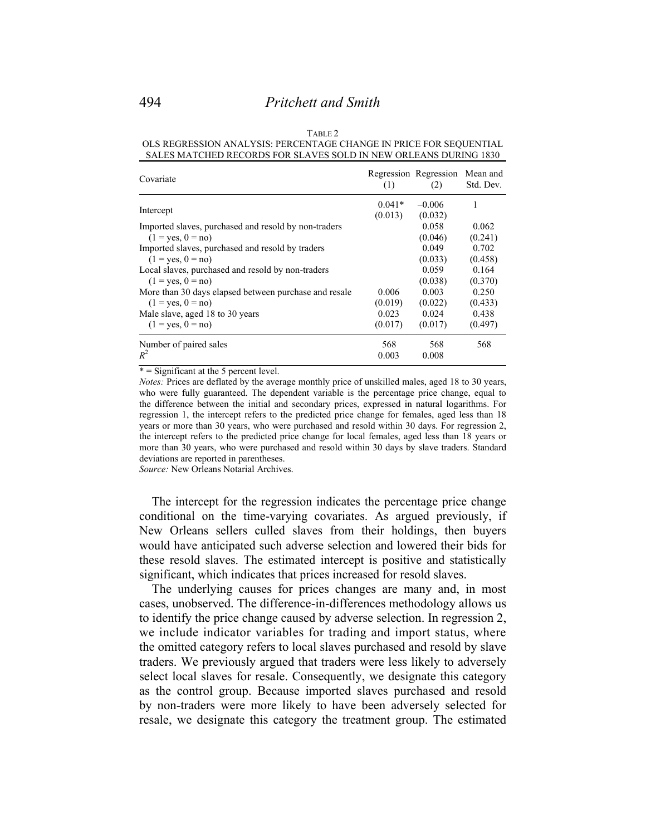#### TABLE 2 OLS REGRESSION ANALYSIS: PERCENTAGE CHANGE IN PRICE FOR SEQUENTIAL SALES MATCHED RECORDS FOR SLAVES SOLD IN NEW ORLEANS DURING 1830

| Covariate                                                         | (1)                 | Regression Regression<br>(2) | Mean and<br>Std. Dev. |
|-------------------------------------------------------------------|---------------------|------------------------------|-----------------------|
| Intercept<br>Imported slaves, purchased and resold by non-traders | $0.041*$<br>(0.013) | $-0.006$<br>(0.032)<br>0.058 | 1<br>0.062            |
| $(1 = \text{ves}, 0 = \text{no})$                                 |                     | (0.046)                      | (0.241)               |
| Imported slaves, purchased and resold by traders                  |                     | 0.049                        | 0.702                 |
| $(1 = \text{ves}, 0 = \text{no})$                                 |                     | (0.033)                      | (0.458)               |
| Local slaves, purchased and resold by non-traders                 |                     | 0.059                        | 0.164                 |
| $(1 = \text{ves}, 0 = \text{no})$                                 |                     | (0.038)                      | (0.370)               |
| More than 30 days elapsed between purchase and resale             | 0.006               | 0.003                        | 0.250                 |
| $(1 = \text{ves}, 0 = \text{no})$                                 | (0.019)             | (0.022)                      | (0.433)               |
| Male slave, aged 18 to 30 years                                   | 0.023               | 0.024                        | 0.438                 |
| $(1 = yes, 0 = no)$                                               | (0.017)             | (0.017)                      | (0.497)               |
| Number of paired sales                                            | 568                 | 568                          | 568                   |
| $R^2$                                                             | 0.003               | 0.008                        |                       |

\* = Significant at the 5 percent level.

*Notes:* Prices are deflated by the average monthly price of unskilled males, aged 18 to 30 years, who were fully guaranteed. The dependent variable is the percentage price change, equal to the difference between the initial and secondary prices, expressed in natural logarithms. For regression 1, the intercept refers to the predicted price change for females, aged less than 18 years or more than 30 years, who were purchased and resold within 30 days. For regression 2, the intercept refers to the predicted price change for local females, aged less than 18 years or more than 30 years, who were purchased and resold within 30 days by slave traders. Standard deviations are reported in parentheses.

*Source:* New Orleans Notarial Archives.

 The intercept for the regression indicates the percentage price change conditional on the time-varying covariates. As argued previously, if New Orleans sellers culled slaves from their holdings, then buyers would have anticipated such adverse selection and lowered their bids for these resold slaves. The estimated intercept is positive and statistically significant, which indicates that prices increased for resold slaves.

 The underlying causes for prices changes are many and, in most cases, unobserved. The difference-in-differences methodology allows us to identify the price change caused by adverse selection. In regression 2, we include indicator variables for trading and import status, where the omitted category refers to local slaves purchased and resold by slave traders. We previously argued that traders were less likely to adversely select local slaves for resale. Consequently, we designate this category as the control group. Because imported slaves purchased and resold by non-traders were more likely to have been adversely selected for resale, we designate this category the treatment group. The estimated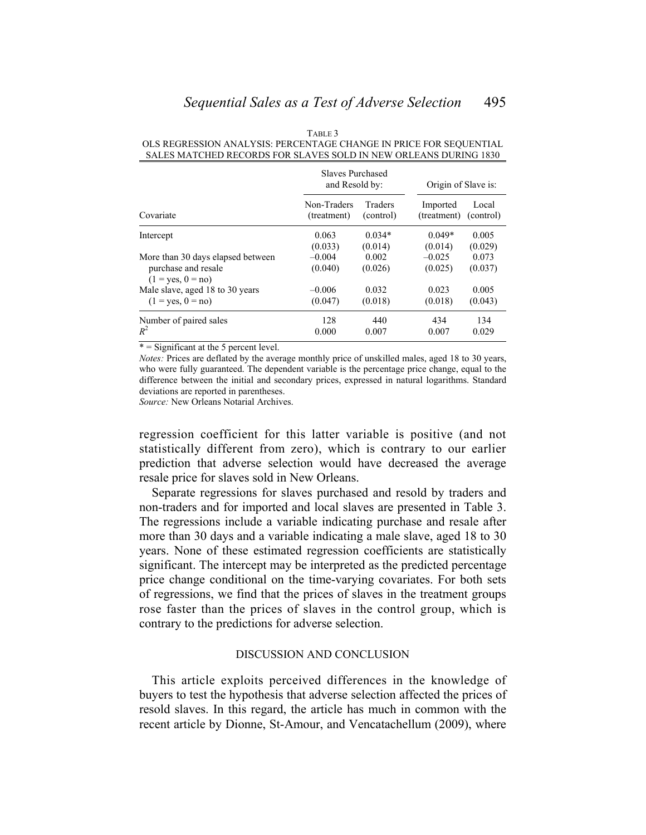|                                                                                               | Slaves Purchased<br>and Resold by: |                  | Origin of Slave is: |                  |
|-----------------------------------------------------------------------------------------------|------------------------------------|------------------|---------------------|------------------|
| Covariate                                                                                     | Non-Traders                        | Traders          | Imported            | Local            |
|                                                                                               | (treatment)                        | (control)        | (treatment)         | (control)        |
| Intercept                                                                                     | 0.063                              | $0.034*$         | $0.049*$            | 0.005            |
|                                                                                               | (0.033)                            | (0.014)          | (0.014)             | (0.029)          |
| More than 30 days elapsed between<br>purchase and resale<br>$(1 = \text{ves}, 0 = \text{no})$ | $-0.004$<br>(0.040)                | 0.002<br>(0.026) | $-0.025$<br>(0.025) | 0.073<br>(0.037) |
| Male slave, aged 18 to 30 years                                                               | $-0.006$                           | 0.032            | 0.023               | 0.005            |
| $(1 = \text{ves}, 0 = \text{no})$                                                             | (0.047)                            | (0.018)          | (0.018)             | (0.043)          |
| Number of paired sales                                                                        | 128                                | 440              | 434                 | 134              |
| $R^2$                                                                                         | 0.000                              | 0.007            | 0.007               | 0.029            |

TABLE 3 OLS REGRESSION ANALYSIS: PERCENTAGE CHANGE IN PRICE FOR SEQUENTIAL SALES MATCHED RECORDS FOR SLAVES SOLD IN NEW ORLEANS DURING 1830

 $* =$  Significant at the 5 percent level.

*Notes:* Prices are deflated by the average monthly price of unskilled males, aged 18 to 30 years, who were fully guaranteed. The dependent variable is the percentage price change, equal to the difference between the initial and secondary prices, expressed in natural logarithms. Standard deviations are reported in parentheses.

*Source:* New Orleans Notarial Archives.

regression coefficient for this latter variable is positive (and not statistically different from zero), which is contrary to our earlier prediction that adverse selection would have decreased the average resale price for slaves sold in New Orleans.

 Separate regressions for slaves purchased and resold by traders and non-traders and for imported and local slaves are presented in Table 3. The regressions include a variable indicating purchase and resale after more than 30 days and a variable indicating a male slave, aged 18 to 30 years. None of these estimated regression coefficients are statistically significant. The intercept may be interpreted as the predicted percentage price change conditional on the time-varying covariates. For both sets of regressions, we find that the prices of slaves in the treatment groups rose faster than the prices of slaves in the control group, which is contrary to the predictions for adverse selection.

#### DISCUSSION AND CONCLUSION

 This article exploits perceived differences in the knowledge of buyers to test the hypothesis that adverse selection affected the prices of resold slaves. In this regard, the article has much in common with the recent article by Dionne, St-Amour, and Vencatachellum (2009), where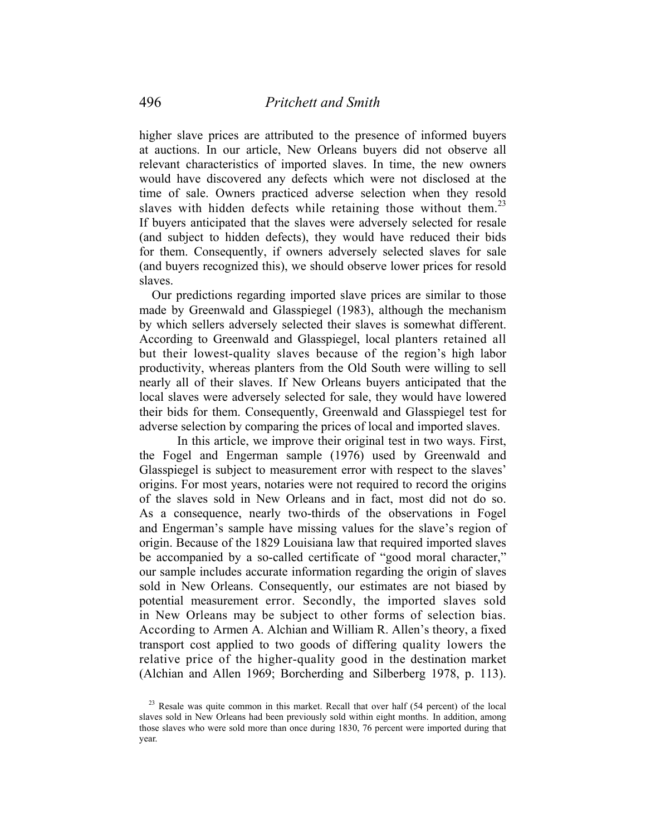higher slave prices are attributed to the presence of informed buyers at auctions. In our article, New Orleans buyers did not observe all relevant characteristics of imported slaves. In time, the new owners would have discovered any defects which were not disclosed at the time of sale. Owners practiced adverse selection when they resold slaves with hidden defects while retaining those without them.<sup>23</sup> If buyers anticipated that the slaves were adversely selected for resale (and subject to hidden defects), they would have reduced their bids for them. Consequently, if owners adversely selected slaves for sale (and buyers recognized this), we should observe lower prices for resold slaves.

 Our predictions regarding imported slave prices are similar to those made by Greenwald and Glasspiegel (1983), although the mechanism by which sellers adversely selected their slaves is somewhat different. According to Greenwald and Glasspiegel, local planters retained all but their lowest-quality slaves because of the region's high labor productivity, whereas planters from the Old South were willing to sell nearly all of their slaves. If New Orleans buyers anticipated that the local slaves were adversely selected for sale, they would have lowered their bids for them. Consequently, Greenwald and Glasspiegel test for adverse selection by comparing the prices of local and imported slaves.

 In this article, we improve their original test in two ways. First, the Fogel and Engerman sample (1976) used by Greenwald and Glasspiegel is subject to measurement error with respect to the slaves' origins. For most years, notaries were not required to record the origins of the slaves sold in New Orleans and in fact, most did not do so. As a consequence, nearly two-thirds of the observations in Fogel and Engerman's sample have missing values for the slave's region of origin. Because of the 1829 Louisiana law that required imported slaves be accompanied by a so-called certificate of "good moral character," our sample includes accurate information regarding the origin of slaves sold in New Orleans. Consequently, our estimates are not biased by potential measurement error. Secondly, the imported slaves sold in New Orleans may be subject to other forms of selection bias. According to Armen A. Alchian and William R. Allen's theory, a fixed transport cost applied to two goods of differing quality lowers the relative price of the higher-quality good in the destination market (Alchian and Allen 1969; Borcherding and Silberberg 1978, p. 113).

<sup>&</sup>lt;sup>23</sup> Resale was quite common in this market. Recall that over half (54 percent) of the local slaves sold in New Orleans had been previously sold within eight months. In addition, among those slaves who were sold more than once during 1830, 76 percent were imported during that year.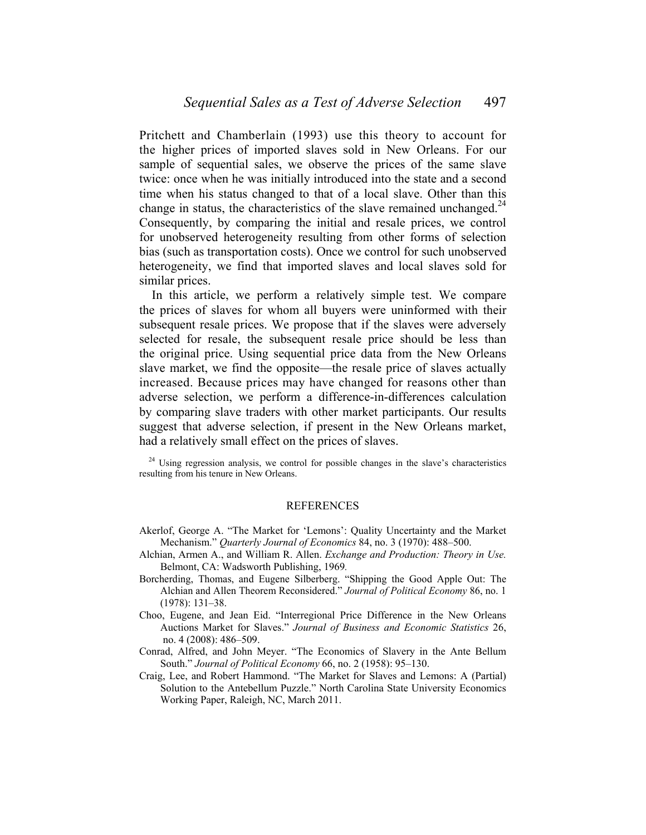Pritchett and Chamberlain (1993) use this theory to account for the higher prices of imported slaves sold in New Orleans. For our sample of sequential sales, we observe the prices of the same slave twice: once when he was initially introduced into the state and a second time when his status changed to that of a local slave. Other than this change in status, the characteristics of the slave remained unchanged.<sup>24</sup> Consequently, by comparing the initial and resale prices, we control for unobserved heterogeneity resulting from other forms of selection bias (such as transportation costs). Once we control for such unobserved heterogeneity, we find that imported slaves and local slaves sold for similar prices.

 In this article, we perform a relatively simple test. We compare the prices of slaves for whom all buyers were uninformed with their subsequent resale prices. We propose that if the slaves were adversely selected for resale, the subsequent resale price should be less than the original price. Using sequential price data from the New Orleans slave market, we find the opposite—the resale price of slaves actually increased. Because prices may have changed for reasons other than adverse selection, we perform a difference-in-differences calculation by comparing slave traders with other market participants. Our results suggest that adverse selection, if present in the New Orleans market, had a relatively small effect on the prices of slaves.

<sup>24</sup> Using regression analysis, we control for possible changes in the slave's characteristics resulting from his tenure in New Orleans.

#### REFERENCES

- Akerlof, George A. "The Market for 'Lemons': Quality Uncertainty and the Market Mechanism." *Quarterly Journal of Economics* 84, no. 3 (1970): 488–500.
- Alchian, Armen A., and William R. Allen. *Exchange and Production: Theory in Use.*  Belmont, CA: Wadsworth Publishing, 1969*.*
- Borcherding, Thomas, and Eugene Silberberg. "Shipping the Good Apple Out: The Alchian and Allen Theorem Reconsidered." *Journal of Political Economy* 86, no. 1  $(1978): 131-38.$
- Choo, Eugene, and Jean Eid. "Interregional Price Difference in the New Orleans Auctions Market for Slaves." *Journal of Business and Economic Statistics* 26, no. 4 (2008): 486–509.
- Conrad, Alfred, and John Meyer. "The Economics of Slavery in the Ante Bellum South." *Journal of Political Economy* 66, no. 2 (1958): 95-130.
- Craig, Lee, and Robert Hammond. "The Market for Slaves and Lemons: A (Partial) Solution to the Antebellum Puzzle." North Carolina State University Economics Working Paper, Raleigh, NC, March 2011.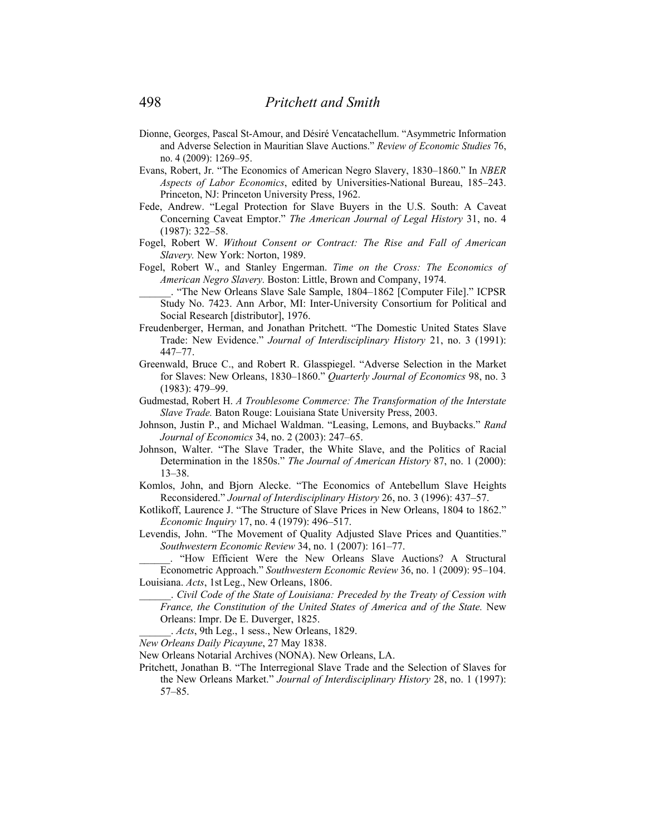- Dionne, Georges, Pascal St-Amour, and Désiré Vencatachellum. "Asymmetric Information and Adverse Selection in Mauritian Slave Auctions." *Review of Economic Studies* 76, no. 4 (2009): 1269‒95.
- Evans, Robert, Jr. "The Economics of American Negro Slavery, 1830–1860." In *NBER Aspects of Labor Economics*, edited by Universities-National Bureau, 185‒243. Princeton, NJ: Princeton University Press, 1962.
- Fede, Andrew. "Legal Protection for Slave Buyers in the U.S. South: A Caveat Concerning Caveat Emptor." *The American Journal of Legal History* 31, no. 4  $(1987): 322 - 58.$
- Fogel, Robert W. *Without Consent or Contract: The Rise and Fall of American Slavery.* New York: Norton, 1989.
- Fogel, Robert W., and Stanley Engerman. *Time on the Cross: The Economics of American Negro Slavery.* Boston: Little, Brown and Company, 1974.
	- \_\_\_\_\_\_. "The New Orleans Slave Sale Sample, 1804‒1862 [Computer File]." ICPSR Study No. 7423. Ann Arbor, MI: Inter-University Consortium for Political and Social Research [distributor], 1976.
- Freudenberger, Herman, and Jonathan Pritchett. "The Domestic United States Slave Trade: New Evidence." *Journal of Interdisciplinary History* 21, no. 3 (1991): 447‒77.
- Greenwald, Bruce C., and Robert R. Glasspiegel. "Adverse Selection in the Market for Slaves: New Orleans, 1830–1860." *Quarterly Journal of Economics* 98, no. 3 (1983): 479‒99.
- Gudmestad, Robert H. *A Troublesome Commerce: The Transformation of the Interstate Slave Trade.* Baton Rouge: Louisiana State University Press, 2003.
- Johnson, Justin P., and Michael Waldman. "Leasing, Lemons, and Buybacks." *Rand Journal of Economics* 34, no. 2 (2003): 247–65.
- Johnson, Walter. "The Slave Trader, the White Slave, and the Politics of Racial Determination in the 1850s." *The Journal of American History* 87, no. 1 (2000):  $13 - 38.$
- Komlos, John, and Bjorn Alecke. "The Economics of Antebellum Slave Heights Reconsidered." *Journal of Interdisciplinary History* 26, no. 3 (1996): 437–57.
- Kotlikoff, Laurence J. "The Structure of Slave Prices in New Orleans, 1804 to 1862." *Economic Inquiry* 17, no. 4 (1979): 496–517.
- Levendis, John. "The Movement of Quality Adjusted Slave Prices and Quantities." *Southwestern Economic Review* 34, no. 1 (2007): 161‒77.
- \_\_\_\_\_\_. "How Efficient Were the New Orleans Slave Auctions? A Structural Econometric Approach." *Southwestern Economic Review* 36, no. 1 (2009): 95–104. Louisiana. *Acts*, 1st Leg., New Orleans, 1806.
	- \_\_\_\_\_\_. *Civil Code of the State of Louisiana: Preceded by the Treaty of Cession with France, the Constitution of the United States of America and of the State.* New Orleans: Impr. De E. Duverger, 1825.
		- \_\_\_\_\_\_. *Acts*, 9th Leg., 1 sess., New Orleans, 1829.
- *New Orleans Daily Picayune*, 27 May 1838.
- New Orleans Notarial Archives (NONA). New Orleans, LA.
- Pritchett, Jonathan B. "The Interregional Slave Trade and the Selection of Slaves for the New Orleans Market." *Journal of Interdisciplinary History* 28, no. 1 (1997): 57‒85.